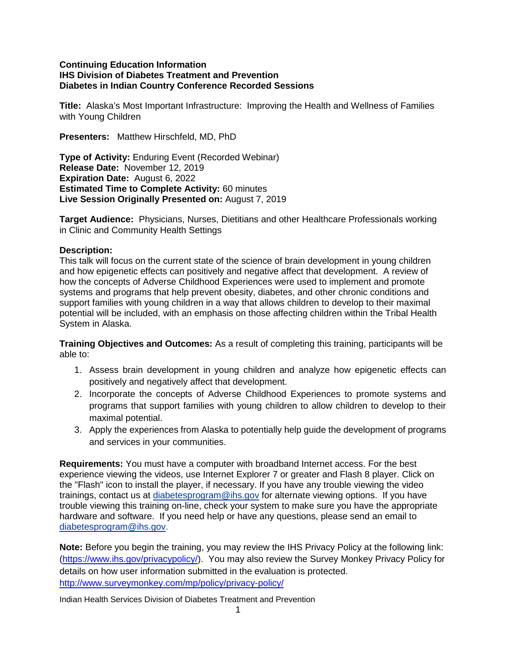# **Continuing Education Information IHS Division of Diabetes Treatment and Prevention Diabetes in Indian Country Conference Recorded Sessions**

**Title:** Alaska's Most Important Infrastructure: Improving the Health and Wellness of Families with Young Children

**Presenters:** Matthew Hirschfeld, MD, PhD

**Type of Activity:** Enduring Event (Recorded Webinar) **Release Date:** November 12, 2019 **Expiration Date:** August 6, 2022 **Estimated Time to Complete Activity:** 60 minutes **Live Session Originally Presented on:** August 7, 2019

**Target Audience:** Physicians, Nurses, Dietitians and other Healthcare Professionals working in Clinic and Community Health Settings

# **Description:**

This talk will focus on the current state of the science of brain development in young children and how epigenetic effects can positively and negative affect that development. A review of how the concepts of Adverse Childhood Experiences were used to implement and promote systems and programs that help prevent obesity, diabetes, and other chronic conditions and support families with young children in a way that allows children to develop to their maximal potential will be included, with an emphasis on those affecting children within the Tribal Health System in Alaska.

**Training Objectives and Outcomes:** As a result of completing this training, participants will be able to:

- 1. Assess brain development in young children and analyze how epigenetic effects can positively and negatively affect that development.
- 2. Incorporate the concepts of Adverse Childhood Experiences to promote systems and programs that support families with young children to allow children to develop to their maximal potential.
- 3. Apply the experiences from Alaska to potentially help guide the development of programs and services in your communities.

**Requirements:** You must have a computer with broadband Internet access. For the best experience viewing the videos, use Internet Explorer 7 or greater and Flash 8 player. Click on the "Flash" icon to install the player, if necessary. If you have any trouble viewing the video trainings, contact us at [diabetesprogram@ihs.gov](mailto:diabetesprogram@ihs.gov) for alternate viewing options. If you have trouble viewing this training on-line, check your system to make sure you have the appropriate hardware and software. If you need help or have any questions, please send an email to [diabetesprogram@ihs.gov.](mailto:diabetesprogram@ihs.gov)

**Note:** Before you begin the training, you may review the IHS Privacy Policy at the following link: [\(https://www.ihs.gov/privacypolicy/\)](https://www.ihs.gov/privacypolicy/). You may also review the Survey Monkey Privacy Policy for details on how user information submitted in the evaluation is protected. <http://www.surveymonkey.com/mp/policy/privacy-policy/>

Indian Health Services Division of Diabetes Treatment and Prevention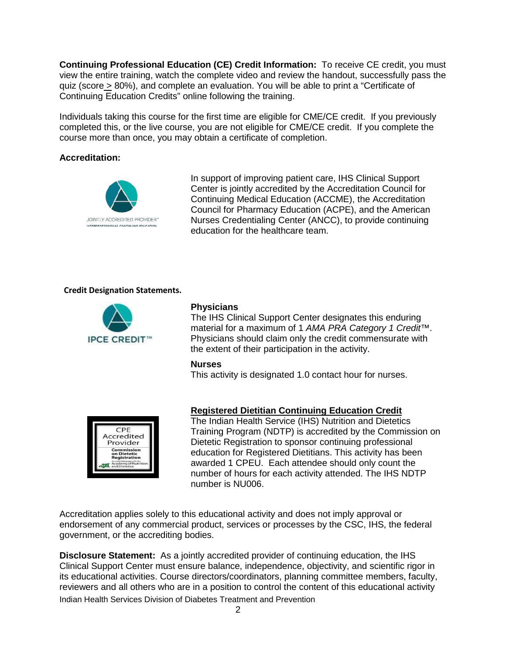**Continuing Professional Education (CE) Credit Information:** To receive CE credit, you must view the entire training, watch the complete video and review the handout, successfully pass the quiz (score > 80%), and complete an evaluation. You will be able to print a "Certificate of Continuing Education Credits" online following the training.

Individuals taking this course for the first time are eligible for CME/CE credit. If you previously completed this, or the live course, you are not eligible for CME/CE credit. If you complete the course more than once, you may obtain a certificate of completion.

# **Accreditation:**



In support of improving patient care, IHS Clinical Support Center is jointly accredited by the Accreditation Council for Continuing Medical Education (ACCME), the Accreditation Council for Pharmacy Education (ACPE), and the American Nurses Credentialing Center (ANCC), to provide continuing education for the healthcare team.

### **Credit Designation Statements.**



### **Physicians**

The IHS Clinical Support Center designates this enduring material for a maximum of 1 *AMA PRA Category 1 Credit*™. Physicians should claim only the credit commensurate with the extent of their participation in the activity.

#### **Nurses**

This activity is designated 1.0 contact hour for nurses.



## **Registered Dietitian Continuing Education Credit**

The Indian Health Service (IHS) Nutrition and Dietetics Training Program (NDTP) is accredited by the Commission on Dietetic Registration to sponsor continuing professional education for Registered Dietitians. This activity has been awarded 1 CPEU. Each attendee should only count the number of hours for each activity attended. The IHS NDTP number is NU006.

Accreditation applies solely to this educational activity and does not imply approval or endorsement of any commercial product, services or processes by the CSC, IHS, the federal government, or the accrediting bodies.

Indian Health Services Division of Diabetes Treatment and Prevention **Disclosure Statement:** As a jointly accredited provider of continuing education, the IHS Clinical Support Center must ensure balance, independence, objectivity, and scientific rigor in its educational activities. Course directors/coordinators, planning committee members, faculty, reviewers and all others who are in a position to control the content of this educational activity